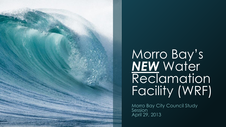

# Morro Bay's *NEW* Water Reclamation Facility (WRF)

Morro Bay City Council Study Session April 29, 2013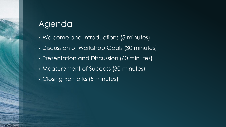## Agenda

- Welcome and Introductions (5 minutes)
- Discussion of Workshop Goals (30 minutes)
- Presentation and Discussion (60 minutes)
- Measurement of Success (30 minutes)
- Closing Remarks (5 minutes)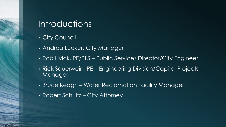#### Introductions

- City Council
- Andrea Lueker, City Manager
- Rob Livick, PE/PLS Public Services Director/City Engineer
- Rick Sauerwein, PE Engineering Division/Capital Projects Manager
- Bruce Keogh Water Reclamation Facility Manager
- Robert Schultz City Attorney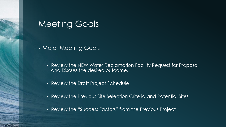#### Meeting Goals

- Major Meeting Goals
	- Review the NEW Water Reclamation Facility Request for Proposal and Discuss the desired outcome.
	- Review the Draft Project Schedule
	- Review the Previous Site Selection Criteria and Potential Sites
	- Review the "Success Factors" from the Previous Project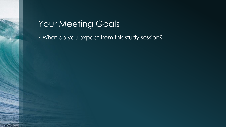## Your Meeting Goals

• What do you expect from this study session?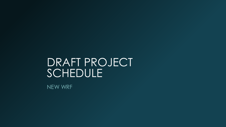# DRAFT PROJECT SCHEDULE

NEW WRF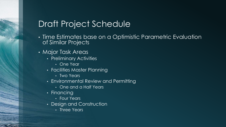## Draft Project Schedule

- Time Estimates base on a Optimistic Parametric Evaluation of Similar Projects
- Major Task Areas
	- Preliminary Activities
		- One Year
	- Facilities Master Planning
		- Two Years
	- Environmental Review and Permitting
		- One and a Half Years
	- Financing
		- Four Years
	- Design and Construction
		- Three Years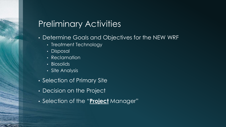#### Preliminary Activities

- Determine Goals and Objectives for the NEW WRF
	- Treatment Technology
	- Disposal
	- Reclamation
	- Biosolids
	- Site Analysis
- Selection of Primary Site
- Decision on the Project
- Selection of the "**Project** Manager"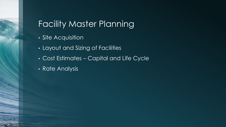## Facility Master Planning

- Site Acquisition
- Layout and Sizing of Facilities
- Cost Estimates Capital and Life Cycle
- **Rate Analysis**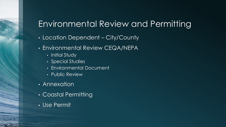## Environmental Review and Permitting

- Location Dependent City/County
- Environmental Review CEQA/NEPA
	- Initial Study
	- Special Studies
	- Environmental Document
	- Public Review
- Annexation
- Coastal Permitting
- Use Permit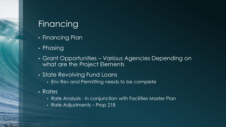## Financing

- Financing Plan
- Phasing
- Grant Opportunities Various Agencies Depending on what are the Project Elements
- State Revolving Fund Loans
	- Env Rev and Permitting needs to be complete
- Rates
	- Rate Analysis in conjunction with Facilities Master Plan
	- Rate Adjustments Prop 218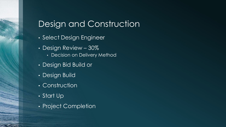## Design and Construction

- Select Design Engineer
- Design Review 30%
	- Decision on Delivery Method
- Design Bid Build or
- Design Build
- Construction
- Start Up
- Project Completion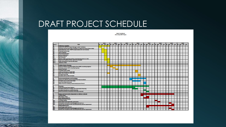## DRAFT PROJECT SCHEDULE

**DRAFT SCHEDULE** Morro Bay WRE Project

|               |                                                                          | 2013 |  |  |  |  | 2014 |  |  |  | 2015 |  |  | 2016 |  |  | 2017 |                                                                                                                                |  |  | 2018 |  |  |  | 2019 |  |  | 2020 |  |  |  |
|---------------|--------------------------------------------------------------------------|------|--|--|--|--|------|--|--|--|------|--|--|------|--|--|------|--------------------------------------------------------------------------------------------------------------------------------|--|--|------|--|--|--|------|--|--|------|--|--|--|
| <b>Home</b> & | TASK                                                                     |      |  |  |  |  |      |  |  |  |      |  |  |      |  |  |      | 01  02  03  04  01  02  03  04  01  02  03  04  01  02  03  04  01  02  03  04  01  02  03  04  01  02  03  04  01  02  03  04 |  |  |      |  |  |  |      |  |  |      |  |  |  |
|               | <b>Preliminary Activities</b>                                            |      |  |  |  |  |      |  |  |  |      |  |  |      |  |  |      |                                                                                                                                |  |  |      |  |  |  |      |  |  |      |  |  |  |
| ţ             | <b>hauance of a RFP for Project Manager and/or Facilitator</b>           |      |  |  |  |  |      |  |  |  |      |  |  |      |  |  |      |                                                                                                                                |  |  |      |  |  |  |      |  |  |      |  |  |  |
|               | Interview and Hire PM and/or facilitator to determine (Oty of Morro Bay) |      |  |  |  |  |      |  |  |  |      |  |  |      |  |  |      |                                                                                                                                |  |  |      |  |  |  |      |  |  |      |  |  |  |
| 읂             | goals/objectives of the WWTP project (below lst not inclusive)           |      |  |  |  |  |      |  |  |  |      |  |  |      |  |  |      |                                                                                                                                |  |  |      |  |  |  |      |  |  |      |  |  |  |
| 절원            | <b>Treatment technology</b>                                              |      |  |  |  |  |      |  |  |  |      |  |  |      |  |  |      |                                                                                                                                |  |  |      |  |  |  |      |  |  |      |  |  |  |
|               | <b>Type of disposal</b>                                                  |      |  |  |  |  |      |  |  |  |      |  |  |      |  |  |      |                                                                                                                                |  |  |      |  |  |  |      |  |  |      |  |  |  |
|               | Ownership/operation                                                      |      |  |  |  |  |      |  |  |  |      |  |  |      |  |  |      |                                                                                                                                |  |  |      |  |  |  |      |  |  |      |  |  |  |
| 25 25         | Level of reclamation                                                     |      |  |  |  |  |      |  |  |  |      |  |  |      |  |  |      |                                                                                                                                |  |  |      |  |  |  |      |  |  |      |  |  |  |
|               | <b>Biosolids Options</b>                                                 |      |  |  |  |  |      |  |  |  |      |  |  |      |  |  |      |                                                                                                                                |  |  |      |  |  |  |      |  |  |      |  |  |  |
| 9             | <b>Site Screening</b>                                                    |      |  |  |  |  |      |  |  |  |      |  |  |      |  |  |      |                                                                                                                                |  |  |      |  |  |  |      |  |  |      |  |  |  |
| A9.1<br>A9.2  | Review rough screening and fine screening documents on sites             |      |  |  |  |  |      |  |  |  |      |  |  |      |  |  |      |                                                                                                                                |  |  |      |  |  |  |      |  |  |      |  |  |  |
|               | Determine if additional sites need to be included                        |      |  |  |  |  |      |  |  |  |      |  |  |      |  |  |      |                                                                                                                                |  |  |      |  |  |  |      |  |  |      |  |  |  |
| E.CA          | Public workshops to narrow sites down                                    |      |  |  |  |  |      |  |  |  |      |  |  |      |  |  |      |                                                                                                                                |  |  |      |  |  |  |      |  |  |      |  |  |  |
| 49.4          | <b>Selection of Site</b>                                                 |      |  |  |  |  |      |  |  |  |      |  |  |      |  |  |      |                                                                                                                                |  |  |      |  |  |  |      |  |  |      |  |  |  |
|               |                                                                          |      |  |  |  |  |      |  |  |  |      |  |  |      |  |  |      |                                                                                                                                |  |  |      |  |  |  |      |  |  |      |  |  |  |
|               | <b>Facilities Master Planning</b>                                        |      |  |  |  |  |      |  |  |  |      |  |  |      |  |  |      |                                                                                                                                |  |  |      |  |  |  |      |  |  |      |  |  |  |
| α             | Issuance of RFP for Facilities Master Plan (FMP) consulting engineer     |      |  |  |  |  |      |  |  |  |      |  |  |      |  |  |      |                                                                                                                                |  |  |      |  |  |  |      |  |  |      |  |  |  |
| ũ             | Interview and hire FMP consulting Engineer                               |      |  |  |  |  |      |  |  |  |      |  |  |      |  |  |      |                                                                                                                                |  |  |      |  |  |  |      |  |  |      |  |  |  |
| a             | <b>Acquire final site</b>                                                |      |  |  |  |  |      |  |  |  |      |  |  |      |  |  |      |                                                                                                                                |  |  |      |  |  |  |      |  |  |      |  |  |  |
| C4            | Complete draft of FMP                                                    |      |  |  |  |  |      |  |  |  |      |  |  |      |  |  |      |                                                                                                                                |  |  |      |  |  |  |      |  |  |      |  |  |  |
|               | Public workshop(s) on Draft FMP                                          |      |  |  |  |  |      |  |  |  |      |  |  |      |  |  |      |                                                                                                                                |  |  |      |  |  |  |      |  |  |      |  |  |  |
| č             | Begin Rate Analysis for NEW WRF                                          |      |  |  |  |  |      |  |  |  |      |  |  |      |  |  |      |                                                                                                                                |  |  |      |  |  |  |      |  |  |      |  |  |  |
|               | <b>Complete final FMP</b>                                                |      |  |  |  |  |      |  |  |  |      |  |  |      |  |  |      |                                                                                                                                |  |  |      |  |  |  |      |  |  |      |  |  |  |
| S.            | Complete 218 for Rate Increases                                          |      |  |  |  |  |      |  |  |  |      |  |  |      |  |  |      |                                                                                                                                |  |  |      |  |  |  |      |  |  |      |  |  |  |
|               |                                                                          |      |  |  |  |  |      |  |  |  |      |  |  |      |  |  |      |                                                                                                                                |  |  |      |  |  |  |      |  |  |      |  |  |  |
|               | <b>Environmental Review and Permitting</b>                               |      |  |  |  |  |      |  |  |  |      |  |  |      |  |  |      |                                                                                                                                |  |  |      |  |  |  |      |  |  |      |  |  |  |
| D1            | <b>Issuance of a RFP for Environmental Planning Consultant</b>           |      |  |  |  |  |      |  |  |  |      |  |  |      |  |  |      |                                                                                                                                |  |  |      |  |  |  |      |  |  |      |  |  |  |
| D2            | Complete and circulate draft CEQA                                        |      |  |  |  |  |      |  |  |  |      |  |  |      |  |  |      |                                                                                                                                |  |  |      |  |  |  |      |  |  |      |  |  |  |
| D3            | <b>Issue Final CEOA Document</b>                                         |      |  |  |  |  |      |  |  |  |      |  |  |      |  |  |      |                                                                                                                                |  |  |      |  |  |  |      |  |  |      |  |  |  |
| Ž             | Obtain Permits including Coastal Development Permit                      |      |  |  |  |  |      |  |  |  |      |  |  |      |  |  |      |                                                                                                                                |  |  |      |  |  |  |      |  |  |      |  |  |  |
|               |                                                                          |      |  |  |  |  |      |  |  |  |      |  |  |      |  |  |      |                                                                                                                                |  |  |      |  |  |  |      |  |  |      |  |  |  |
|               | <b>Financing</b>                                                         |      |  |  |  |  |      |  |  |  |      |  |  |      |  |  |      |                                                                                                                                |  |  |      |  |  |  |      |  |  |      |  |  |  |
|               | <b>Invest and Pursue Grant Options</b>                                   |      |  |  |  |  |      |  |  |  |      |  |  |      |  |  |      |                                                                                                                                |  |  |      |  |  |  |      |  |  |      |  |  |  |
|               | Complete draft plan for design and construction financing                |      |  |  |  |  |      |  |  |  |      |  |  |      |  |  |      |                                                                                                                                |  |  |      |  |  |  |      |  |  |      |  |  |  |
|               | Complete final plan for project financing                                |      |  |  |  |  |      |  |  |  |      |  |  |      |  |  |      |                                                                                                                                |  |  |      |  |  |  |      |  |  |      |  |  |  |
|               | Submit proof that all necessary financing is secured                     |      |  |  |  |  |      |  |  |  |      |  |  |      |  |  |      |                                                                                                                                |  |  |      |  |  |  |      |  |  |      |  |  |  |
|               |                                                                          |      |  |  |  |  |      |  |  |  |      |  |  |      |  |  |      |                                                                                                                                |  |  |      |  |  |  |      |  |  |      |  |  |  |
|               | <b>Design and Construction (dependant on delivery method)</b>            |      |  |  |  |  |      |  |  |  |      |  |  |      |  |  |      |                                                                                                                                |  |  |      |  |  |  |      |  |  |      |  |  |  |
|               | Initiate design                                                          |      |  |  |  |  |      |  |  |  |      |  |  |      |  |  |      |                                                                                                                                |  |  |      |  |  |  |      |  |  |      |  |  |  |
|               | 30% design review                                                        |      |  |  |  |  |      |  |  |  |      |  |  |      |  |  |      |                                                                                                                                |  |  |      |  |  |  |      |  |  |      |  |  |  |
|               | <b>Select Delivery Method</b>                                            |      |  |  |  |  |      |  |  |  |      |  |  |      |  |  |      |                                                                                                                                |  |  |      |  |  |  |      |  |  |      |  |  |  |
|               | <b>Design Bid Build Process</b>                                          |      |  |  |  |  |      |  |  |  |      |  |  |      |  |  |      |                                                                                                                                |  |  |      |  |  |  |      |  |  |      |  |  |  |
| Tal.          | <b>Complete design</b>                                                   |      |  |  |  |  |      |  |  |  |      |  |  |      |  |  |      |                                                                                                                                |  |  |      |  |  |  |      |  |  |      |  |  |  |
| Fa2           | haus notice to proceed with construction                                 |      |  |  |  |  |      |  |  |  |      |  |  |      |  |  |      |                                                                                                                                |  |  |      |  |  |  |      |  |  |      |  |  |  |
| Fa3           | Competed construction and debugging and start-up                         |      |  |  |  |  |      |  |  |  |      |  |  |      |  |  |      |                                                                                                                                |  |  |      |  |  |  |      |  |  |      |  |  |  |
| Fa4           | Achieve full compliance with secondary/tertiary permit requirement       |      |  |  |  |  |      |  |  |  |      |  |  |      |  |  |      |                                                                                                                                |  |  |      |  |  |  |      |  |  |      |  |  |  |
|               | <b>Design Build Process</b>                                              |      |  |  |  |  |      |  |  |  |      |  |  |      |  |  |      |                                                                                                                                |  |  |      |  |  |  |      |  |  |      |  |  |  |
| TЫL           | <b>Issue Design Build Contract</b>                                       |      |  |  |  |  |      |  |  |  |      |  |  |      |  |  |      |                                                                                                                                |  |  |      |  |  |  |      |  |  |      |  |  |  |
| ГЬ2           | Competed construction and debugging and start-up                         |      |  |  |  |  |      |  |  |  |      |  |  |      |  |  |      |                                                                                                                                |  |  |      |  |  |  |      |  |  |      |  |  |  |
| FЫЗ           | Achieve full compliance with secondary/tertiary permit requirement       |      |  |  |  |  |      |  |  |  |      |  |  |      |  |  |      |                                                                                                                                |  |  |      |  |  |  |      |  |  |      |  |  |  |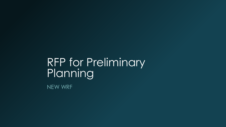# RFP for Preliminary Planning

NEW WRF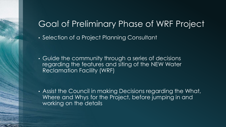## Goal of Preliminary Phase of WRF Project

• Selection of a Project Planning Consultant

• Guide the community through a series of decisions regarding the features and siting of the NEW Water Reclamation Facility (WRF)

• Assist the Council in making Decisions regarding the What, Where and Whys for the Project, before jumping in and working on the details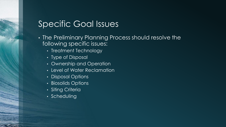#### Specific Goal Issues

- The Preliminary Planning Process should resolve the following specific issues:
	- Treatment Technology
	- Type of Disposal
	- Ownership and Operation
	- Level of Water Reclamation
	- Disposal Options
	- Biosolids Options
	- Siting Criteria
	- Scheduling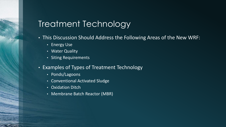## Treatment Technology

- This Discussion Should Address the Following Areas of the New WRF:
	- Energy Use
	- Water Quality
	- Siting Requirements
- Examples of Types of Treatment Technology
	- Ponds/Lagoons
	- Conventional Activated Sludge
	- Oxidation Ditch
	- Membrane Batch Reactor (MBR)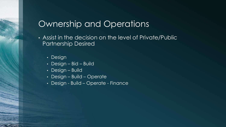## Ownership and Operations

- Assist in the decision on the level of Private/Public Partnership Desired
	- Design
	- Design Bid Build
	- Design Build
	- Design Build Operate
	- Design Build Operate Finance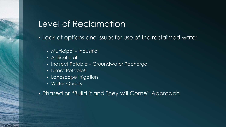## Level of Reclamation

• Look at options and issues for use of the reclaimed water

- Municipal Industrial
- Agricultural
- Indirect Potable Groundwater Recharge
- Direct Potable?
- Landscape Irrigation
- Water Quality
- Phased or "Build it and They will Come" Approach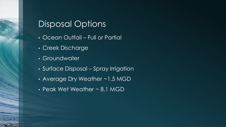## Disposal Options

- Ocean Outfall Full or Partial
- Creek Discharge
- Groundwater
- Surface Disposal Spray Irrigation
- Average Dry Weather ~1.5 MGD
- Peak Wet Weather ~ 8.1 MGD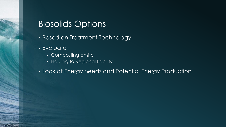## Biosolids Options

- Based on Treatment Technology
- Evaluate
	- Composting onsite
	- Hauling to Regional Facility
- Look at Energy needs and Potential Energy Production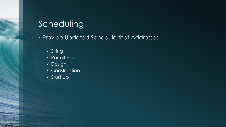## Scheduling

• Provide Updated Schedule that Addresses

- Siting
- Permitting
- Design
- Construction
- Start Up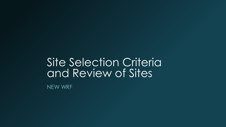# Site Selection Criteria and Review of Sites

NEW WRF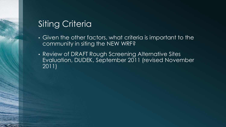## Siting Criteria

- Given the other factors, what criteria is important to the community in siting the NEW WRF?
- Review of DRAFT Rough Screening Alternative Sites Evaluation, DUDEK, September 2011 (revised November 2011)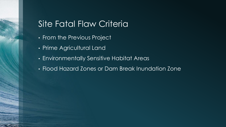## Site Fatal Flaw Criteria

- From the Previous Project
- Prime Agricultural Land
- Environmentally Sensitive Habitat Areas
- Flood Hazard Zones or Dam Break Inundation Zone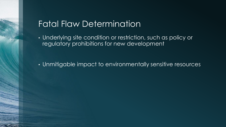## Fatal Flaw Determination

• Underlying site condition or restriction, such as policy or regulatory prohibitions for new development

• Unmitigable impact to environmentally sensitive resources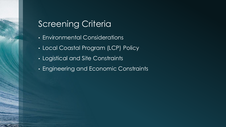## Screening Criteria

- Environmental Considerations
- Local Coastal Program (LCP) Policy
- Logistical and Site Constraints
- Engineering and Economic Constraints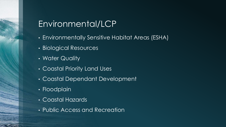## Environmental/LCP

- Environmentally Sensitive Habitat Areas (ESHA)
- Biological Resources
- Water Quality
- Coastal Priority Land Uses
- Coastal Dependant Development
- Floodplain
- Coastal Hazards<sup>1</sup>
- Public Access and Recreation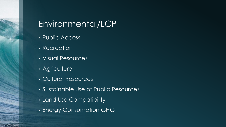## Environmental/LCP

- Public Access
- Recreation
- Visual Resources
- Agriculture
- Cultural Resources
- Sustainable Use of Public Resources
- Land Use Compatibility
- Energy Consumption GHG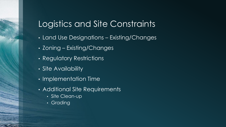## Logistics and Site Constraints

- Land Use Designations Existing/Changes
- Zoning Existing/Changes
- Regulatory Restrictions
- Site Availability
- Implementation Time
- Additional Site Requirements
	- Site Clean-up
	- Grading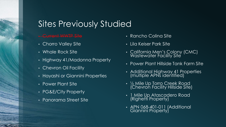## Sites Previously Studied

#### • Current WWTP Site

- Chorro Valley Site
- Whale Rock Site
- Highway 41/Madonna Property
- Chevron Oil Facility
- Hayashi or Giannini Properties
- Power Plant Site
- PG&E/City Property
- Panorama Street Site
- Rancho Colina Site
- Lila Keiser Park Site
- California Men's Colony (CMC) Wastewater Facility Site
- Power Plant Hillside Tank Farm Site
- Additional Highway 41 Properties (multiple APNs identified)
- ½ Mile Up Torro Creek Road (Chevron Facility Hillside Site)
- 1 Mile Up Atascadero Road (Righetti Property)
- APN 068-401-011 (Additional Giannini Property)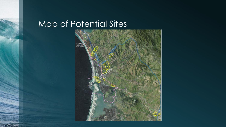## Map of Potential Sites

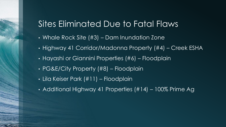## Sites Eliminated Due to Fatal Flaws

- Whale Rock Site (#3) Dam Inundation Zone
- Highway 41 Corridor/Madonna Property (#4) Creek ESHA
- Hayashi or Giannini Properties (#6) Floodplain
- PG&E/City Property (#8) Floodplain
- Lila Keiser Park (#11) Floodplain
- Additional Highway 41 Properties (#14) 100% Prime Ag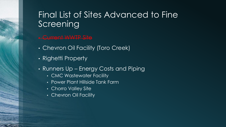## Final List of Sites Advanced to Fine Screening

#### • Current WWTP Site

- Chevron Oil Facility (Toro Creek)
- Righetti Property
- Runners Up Energy Costs and Piping
	- CMC Wastewater Facility
	- Power Plant Hillside Tank Farm
	- Chorro Valley Site
	- Chevron Oil Facility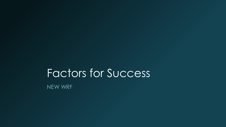# Factors for Success

NEW WRF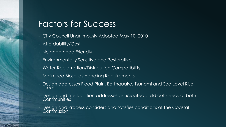#### Factors for Success

- City Council Unanimously Adopted May 10, 2010
- Affordability/Cost
- Neighborhood Friendly
- Environmentally Sensitive and Restorative
- Water Reclamation/Distribution Compatibility
- Minimized Biosolids Handling Requirements
- Design addresses Flood Plain, Earthquake, Tsunami and Sea Level Rise **Issues**
- Design and site location addresses anticipated build out needs of both **Communities**
- Design and Process considers and satisfies conditions of the Coastal Commission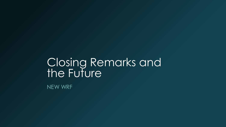# Closing Remarks and the Future

NEW WRF